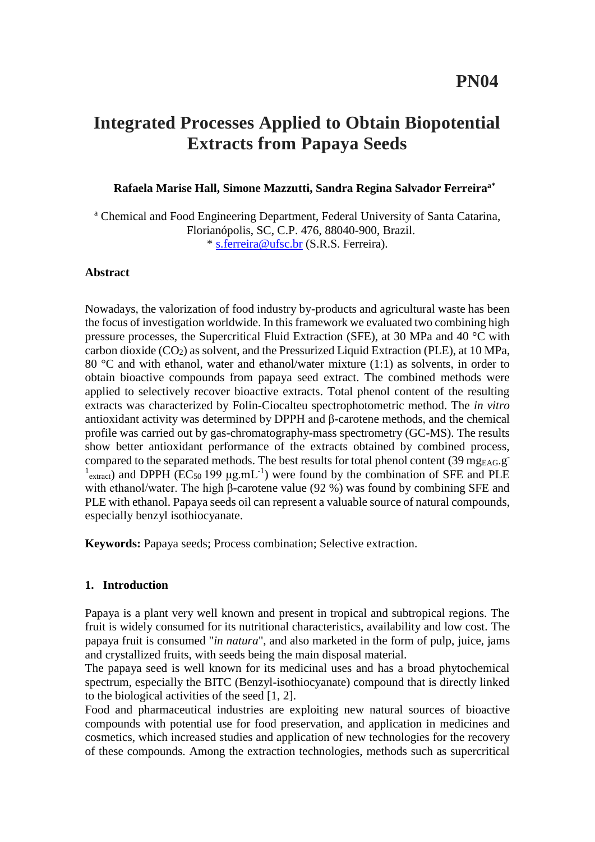# **Integrated Processes Applied to Obtain Biopotential Extracts from Papaya Seeds**

## **Rafaela Marise Hall, Simone Mazzutti, Sandra Regina Salvador Ferreiraa\***

<sup>a</sup> Chemical and Food Engineering Department, Federal University of Santa Catarina, Florianópolis, SC, C.P. 476, 88040-900, Brazil. \* [s.ferreira@ufsc.br](mailto:s.ferreira@ufsc.br) (S.R.S. Ferreira).

#### **Abstract**

Nowadays, the valorization of food industry by-products and agricultural waste has been the focus of investigation worldwide. In this framework we evaluated two combining high pressure processes, the Supercritical Fluid Extraction (SFE), at 30 MPa and 40 °C with carbon dioxide  $(CO_2)$  as solvent, and the Pressurized Liquid Extraction (PLE), at 10 MPa, 80  $\degree$ C and with ethanol, water and ethanol/water mixture (1:1) as solvents, in order to obtain bioactive compounds from papaya seed extract. The combined methods were applied to selectively recover bioactive extracts. Total phenol content of the resulting extracts was characterized by Folin-Ciocalteu spectrophotometric method. The *in vitro* antioxidant activity was determined by DPPH and β-carotene methods, and the chemical profile was carried out by gas-chromatography-mass spectrometry (GC-MS). The results show better antioxidant performance of the extracts obtained by combined process, compared to the separated methods. The best results for total phenol content (39 mg<sub>EAG</sub>.g<sup>-</sup>  $<sup>1</sup>$ <sub>extract</sub>) and DPPH (EC<sub>50</sub> 199 μg.mL<sup>-1</sup>) were found by the combination of SFE and PLE</sup> with ethanol/water. The high β-carotene value (92 %) was found by combining SFE and PLE with ethanol. Papaya seeds oil can represent a valuable source of natural compounds, especially benzyl isothiocyanate.

**Keywords:** Papaya seeds; Process combination; Selective extraction.

## **1. Introduction**

Papaya is a plant very well known and present in tropical and subtropical regions. The fruit is widely consumed for its nutritional characteristics, availability and low cost. The papaya fruit is consumed "*in natura*", and also marketed in the form of pulp, juice, jams and crystallized fruits, with seeds being the main disposal material.

The papaya seed is well known for its medicinal uses and has a broad phytochemical spectrum, especially the BITC (Benzyl-isothiocyanate) compound that is directly linked to the biological activities of the seed [1, 2].

Food and pharmaceutical industries are exploiting new natural sources of bioactive compounds with potential use for food preservation, and application in medicines and cosmetics, which increased studies and application of new technologies for the recovery of these compounds. Among the extraction technologies, methods such as supercritical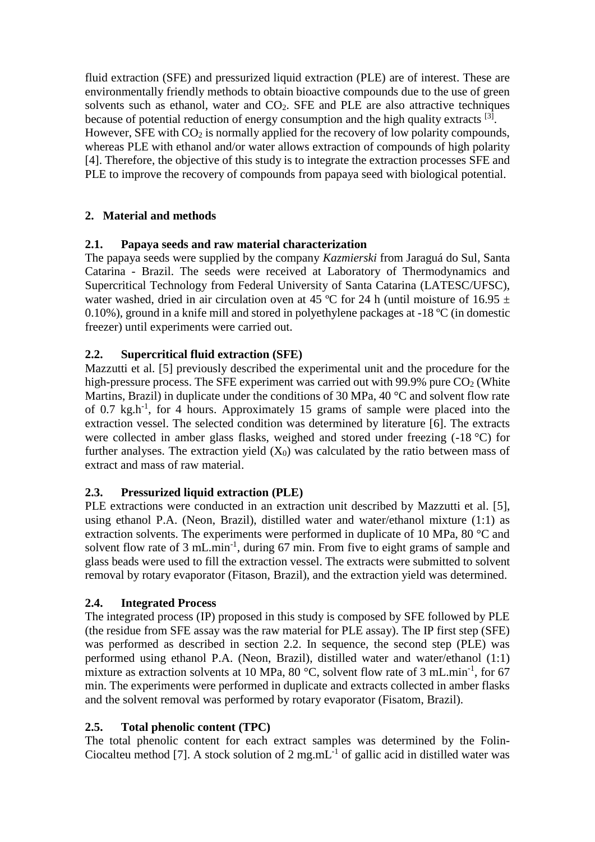fluid extraction (SFE) and pressurized liquid extraction (PLE) are of interest. These are environmentally friendly methods to obtain bioactive compounds due to the use of green solvents such as ethanol, water and  $CO<sub>2</sub>$ . SFE and PLE are also attractive techniques because of potential reduction of energy consumption and the high quality extracts <sup>[3]</sup>. However, SFE with  $CO<sub>2</sub>$  is normally applied for the recovery of low polarity compounds, whereas PLE with ethanol and/or water allows extraction of compounds of high polarity [4]. Therefore, the objective of this study is to integrate the extraction processes SFE and PLE to improve the recovery of compounds from papaya seed with biological potential.

# **2. Material and methods**

# **2.1. Papaya seeds and raw material characterization**

The papaya seeds were supplied by the company *Kazmierski* from Jaraguá do Sul, Santa Catarina - Brazil. The seeds were received at Laboratory of Thermodynamics and Supercritical Technology from Federal University of Santa Catarina (LATESC/UFSC), water washed, dried in air circulation oven at 45 °C for 24 h (until moisture of 16.95  $\pm$ 0.10%), ground in a knife mill and stored in polyethylene packages at -18 ºC (in domestic freezer) until experiments were carried out.

# **2.2. Supercritical fluid extraction (SFE)**

Mazzutti et al. [5] previously described the experimental unit and the procedure for the high-pressure process. The SFE experiment was carried out with 99.9% pure  $CO<sub>2</sub>$  (White Martins, Brazil) in duplicate under the conditions of 30 MPa, 40 °C and solvent flow rate of 0.7 kg.h-1 , for 4 hours. Approximately 15 grams of sample were placed into the extraction vessel. The selected condition was determined by literature [6]. The extracts were collected in amber glass flasks, weighed and stored under freezing (-18 °C) for further analyses. The extraction yield  $(X_0)$  was calculated by the ratio between mass of extract and mass of raw material.

# **2.3. Pressurized liquid extraction (PLE)**

PLE extractions were conducted in an extraction unit described by Mazzutti et al. [5], using ethanol P.A. (Neon, Brazil), distilled water and water/ethanol mixture (1:1) as extraction solvents. The experiments were performed in duplicate of 10 MPa, 80 °C and solvent flow rate of  $3 \text{ mL.min}^{-1}$ , during  $67 \text{ min}$ . From five to eight grams of sample and glass beads were used to fill the extraction vessel. The extracts were submitted to solvent removal by rotary evaporator (Fitason, Brazil), and the extraction yield was determined.

# **2.4. Integrated Process**

The integrated process (IP) proposed in this study is composed by SFE followed by PLE (the residue from SFE assay was the raw material for PLE assay). The IP first step (SFE) was performed as described in section 2.2. In sequence, the second step (PLE) was performed using ethanol P.A. (Neon, Brazil), distilled water and water/ethanol (1:1) mixture as extraction solvents at 10 MPa, 80  $^{\circ}$ C, solvent flow rate of 3 mL.min<sup>-1</sup>, for 67 min. The experiments were performed in duplicate and extracts collected in amber flasks and the solvent removal was performed by rotary evaporator (Fisatom, Brazil).

# **2.5. Total phenolic content (TPC)**

The total phenolic content for each extract samples was determined by the Folin-Ciocalteu method [7]. A stock solution of  $2 \text{ mg.mL}^{-1}$  of gallic acid in distilled water was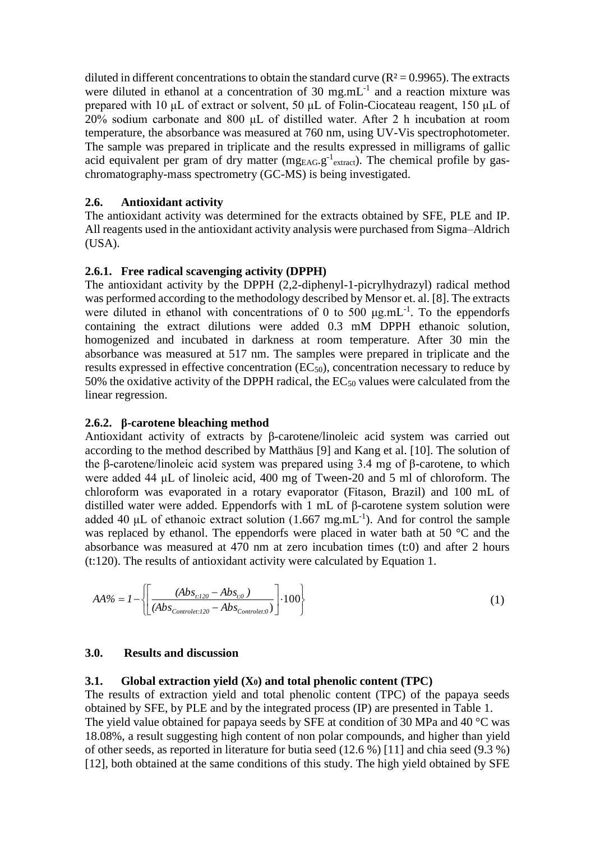diluted in different concentrations to obtain the standard curve  $(R^2 = 0.9965)$ . The extracts were diluted in ethanol at a concentration of 30 mg.mL $^{-1}$  and a reaction mixture was prepared with 10 μL of extract or solvent, 50 μL of Folin-Ciocateau reagent, 150 μL of 20% sodium carbonate and 800 μL of distilled water. After 2 h incubation at room temperature, the absorbance was measured at 760 nm, using UV-Vis spectrophotometer. The sample was prepared in triplicate and the results expressed in milligrams of gallic acid equivalent per gram of dry matter ( $mg_{EAG}.g^{-1}$ <sub>extract</sub>). The chemical profile by gaschromatography-mass spectrometry (GC-MS) is being investigated.

# **2.6. Antioxidant activity**

The antioxidant activity was determined for the extracts obtained by SFE, PLE and IP. All reagents used in the antioxidant activity analysis were purchased from Sigma–Aldrich (USA).

## **2.6.1. Free radical scavenging activity (DPPH)**

The antioxidant activity by the DPPH (2,2-diphenyl-1-picrylhydrazyl) radical method was performed according to the methodology described by Mensor et. al. [8]. The extracts were diluted in ethanol with concentrations of 0 to 500  $\mu g.mL^{-1}$ . To the eppendorfs containing the extract dilutions were added 0.3 mM DPPH ethanoic solution, homogenized and incubated in darkness at room temperature. After 30 min the absorbance was measured at 517 nm. The samples were prepared in triplicate and the results expressed in effective concentration (EC50), concentration necessary to reduce by 50% the oxidative activity of the DPPH radical, the  $EC_{50}$  values were calculated from the linear regression.

## **2.6.2. β-carotene bleaching method**

Antioxidant activity of extracts by β-carotene/linoleic acid system was carried out according to the method described by Matthäus [9] and Kang et al. [10]. The solution of the β-carotene/linoleic acid system was prepared using 3.4 mg of β-carotene, to which were added 44 μL of linoleic acid, 400 mg of Tween-20 and 5 ml of chloroform. The chloroform was evaporated in a rotary evaporator (Fitason, Brazil) and 100 mL of distilled water were added. Eppendorfs with 1 mL of β-carotene system solution were added 40  $\mu$ L of ethanoic extract solution (1.667 mg.mL<sup>-1</sup>). And for control the sample was replaced by ethanol. The eppendorfs were placed in water bath at 50 °C and the absorbance was measured at 470 nm at zero incubation times (t:0) and after 2 hours (t:120). The results of antioxidant activity were calculated by Equation 1.

$$
AA\% = I - \left\{ \left[ \frac{(Abs_{t:120} - Abs_{t:0})}{(Abs_{Controlet:120} - Abs_{Controlet:0})} \right] \cdot 100 \right\}
$$
 (1)

## **3.0. Results and discussion**

## **3.1. Global extraction yield (X0) and total phenolic content (TPC)**

The results of extraction yield and total phenolic content (TPC) of the papaya seeds obtained by SFE, by PLE and by the integrated process (IP) are presented in Table 1. The yield value obtained for papaya seeds by SFE at condition of 30 MPa and 40 °C was 18.08%, a result suggesting high content of non polar compounds, and higher than yield of other seeds, as reported in literature for butia seed (12.6 %) [11] and chia seed (9.3 %) [12], both obtained at the same conditions of this study. The high yield obtained by SFE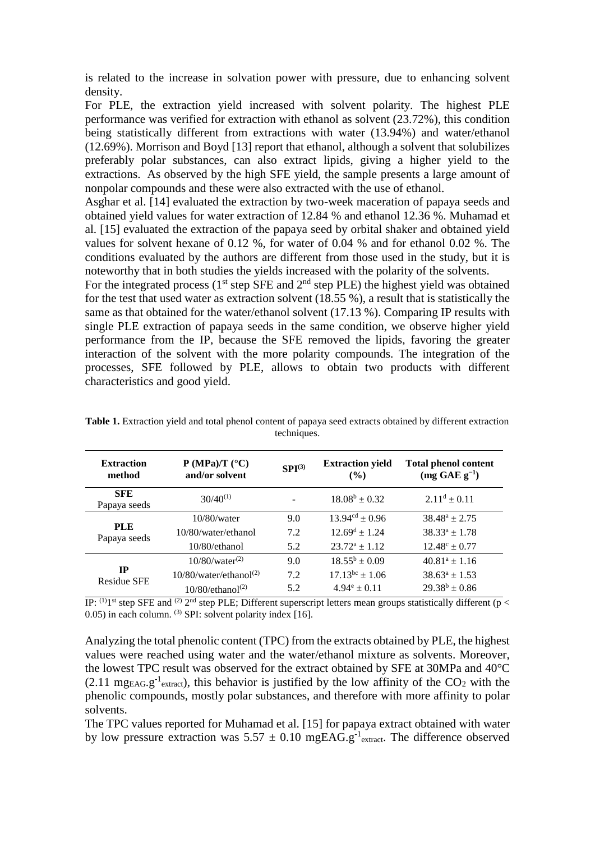is related to the increase in solvation power with pressure, due to enhancing solvent density.

For PLE, the extraction yield increased with solvent polarity. The highest PLE performance was verified for extraction with ethanol as solvent (23.72%), this condition being statistically different from extractions with water (13.94%) and water/ethanol (12.69%). Morrison and Boyd [13] report that ethanol, although a solvent that solubilizes preferably polar substances, can also extract lipids, giving a higher yield to the extractions. As observed by the high SFE yield, the sample presents a large amount of nonpolar compounds and these were also extracted with the use of ethanol.

Asghar et al. [14] evaluated the extraction by two-week maceration of papaya seeds and obtained yield values for water extraction of 12.84 % and ethanol 12.36 %. Muhamad et al. [15] evaluated the extraction of the papaya seed by orbital shaker and obtained yield values for solvent hexane of 0.12 %, for water of 0.04 % and for ethanol 0.02 %. The conditions evaluated by the authors are different from those used in the study, but it is noteworthy that in both studies the yields increased with the polarity of the solvents.

For the integrated process ( $1<sup>st</sup>$  step SFE and  $2<sup>nd</sup>$  step PLE) the highest yield was obtained for the test that used water as extraction solvent (18.55 %), a result that is statistically the same as that obtained for the water/ethanol solvent (17.13 %). Comparing IP results with single PLE extraction of papaya seeds in the same condition, we observe higher yield performance from the IP, because the SFE removed the lipids, favoring the greater interaction of the solvent with the more polarity compounds. The integration of the processes, SFE followed by PLE, allows to obtain two products with different characteristics and good yield.

| <b>Extraction</b><br>method       | $P(MPa)/T$ (°C)<br>and/or solvent     | $SPI^{(3)}$ | <b>Extraction yield</b><br>$($ %) | <b>Total phenol content</b><br>$(mg GAE g^{-1})$ |
|-----------------------------------|---------------------------------------|-------------|-----------------------------------|--------------------------------------------------|
| <b>SFE</b><br>Papaya seeds        | $30/40^{(1)}$                         |             | $18.08^b \pm 0.32$                | $2.11^d \pm 0.11$                                |
| <b>PLE</b><br>Papaya seeds        | $10/80$ /water                        | 9.0         | $13.94^{cd} \pm 0.96$             | $38.48^a \pm 2.75$                               |
|                                   | 10/80/water/ethanol                   | 7.2         | $12.69^{\text{d}} \pm 1.24$       | $38.33^a \pm 1.78$                               |
|                                   | $10/80$ /ethanol                      | 5.2         | $23.72^a \pm 1.12$                | $12.48^{\circ} \pm 0.77$                         |
| $_{\rm IP}$<br><b>Residue SFE</b> | $10/80/water^{(2)}$                   | 9.0         | $18.55^b \pm 0.09$                | $40.81^a \pm 1.16$                               |
|                                   | $10/80$ /water/ethanol <sup>(2)</sup> | 7.2         | $17.13^{bc} \pm 1.06$             | $38.63^a \pm 1.53$                               |
|                                   | $10/80$ /ethanol <sup>(2)</sup>       | 5.2         | $4.94^e \pm 0.11$                 | $29.38^b \pm 0.86$                               |

**Table 1.** Extraction yield and total phenol content of papaya seed extracts obtained by different extraction techniques.

IP:  $(1)$ <sup>1st</sup> step SFE and  $(2)$  2<sup>nd</sup> step PLE; Different superscript letters mean groups statistically different (p < 0.05) in each column. <sup>(3)</sup> SPI: solvent polarity index [16].

Analyzing the total phenolic content (TPC) from the extracts obtained by PLE, the highest values were reached using water and the water/ethanol mixture as solvents. Moreover, the lowest TPC result was observed for the extract obtained by SFE at 30MPa and 40°C  $(2.11 \text{ mgEAG} \cdot g^{-1}$ <sub>extract</sub>), this behavior is justified by the low affinity of the CO<sub>2</sub> with the phenolic compounds, mostly polar substances, and therefore with more affinity to polar solvents.

The TPC values reported for Muhamad et al. [15] for papaya extract obtained with water by low pressure extraction was  $5.57 \pm 0.10$  mgEAG.g<sup>-1</sup><sub>extract</sub>. The difference observed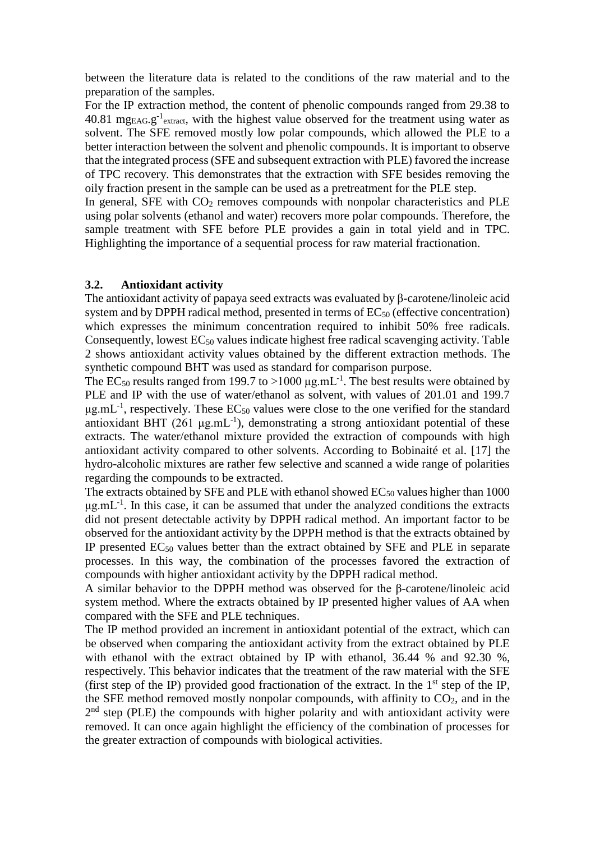between the literature data is related to the conditions of the raw material and to the preparation of the samples.

For the IP extraction method, the content of phenolic compounds ranged from 29.38 to 40.81 mg<sub>EAG</sub>.g<sup>-1</sup><sub>extract</sub>, with the highest value observed for the treatment using water as solvent. The SFE removed mostly low polar compounds, which allowed the PLE to a better interaction between the solvent and phenolic compounds. It is important to observe that the integrated process (SFE and subsequent extraction with PLE) favored the increase of TPC recovery. This demonstrates that the extraction with SFE besides removing the oily fraction present in the sample can be used as a pretreatment for the PLE step.

In general, SFE with  $CO<sub>2</sub>$  removes compounds with nonpolar characteristics and PLE using polar solvents (ethanol and water) recovers more polar compounds. Therefore, the sample treatment with SFE before PLE provides a gain in total yield and in TPC. Highlighting the importance of a sequential process for raw material fractionation.

## **3.2. Antioxidant activity**

The antioxidant activity of papaya seed extracts was evaluated by β-carotene/linoleic acid system and by DPPH radical method, presented in terms of  $EC_{50}$  (effective concentration) which expresses the minimum concentration required to inhibit 50% free radicals. Consequently, lowest  $EC_{50}$  values indicate highest free radical scavenging activity. Table 2 shows antioxidant activity values obtained by the different extraction methods. The synthetic compound BHT was used as standard for comparison purpose.

The EC<sub>50</sub> results ranged from 199.7 to >1000  $\mu$ g.mL<sup>-1</sup>. The best results were obtained by PLE and IP with the use of water/ethanol as solvent, with values of 201.01 and 199.7  $\mu$ g.mL<sup>-1</sup>, respectively. These EC<sub>50</sub> values were close to the one verified for the standard antioxidant BHT  $(261 \mu g.mL^{-1})$ , demonstrating a strong antioxidant potential of these extracts. The water/ethanol mixture provided the extraction of compounds with high antioxidant activity compared to other solvents. According to Bobinaité et al. [17] the hydro-alcoholic mixtures are rather few selective and scanned a wide range of polarities regarding the compounds to be extracted.

The extracts obtained by SFE and PLE with ethanol showed  $EC_{50}$  values higher than 1000  $\mu$ g.mL<sup>-1</sup>. In this case, it can be assumed that under the analyzed conditions the extracts did not present detectable activity by DPPH radical method. An important factor to be observed for the antioxidant activity by the DPPH method is that the extracts obtained by IP presented  $EC_{50}$  values better than the extract obtained by SFE and PLE in separate processes. In this way, the combination of the processes favored the extraction of compounds with higher antioxidant activity by the DPPH radical method.

A similar behavior to the DPPH method was observed for the β-carotene/linoleic acid system method. Where the extracts obtained by IP presented higher values of AA when compared with the SFE and PLE techniques.

The IP method provided an increment in antioxidant potential of the extract, which can be observed when comparing the antioxidant activity from the extract obtained by PLE with ethanol with the extract obtained by IP with ethanol, 36.44 % and 92.30 %, respectively. This behavior indicates that the treatment of the raw material with the SFE (first step of the IP) provided good fractionation of the extract. In the  $1<sup>st</sup>$  step of the IP, the SFE method removed mostly nonpolar compounds, with affinity to  $CO<sub>2</sub>$ , and in the 2<sup>nd</sup> step (PLE) the compounds with higher polarity and with antioxidant activity were removed. It can once again highlight the efficiency of the combination of processes for the greater extraction of compounds with biological activities.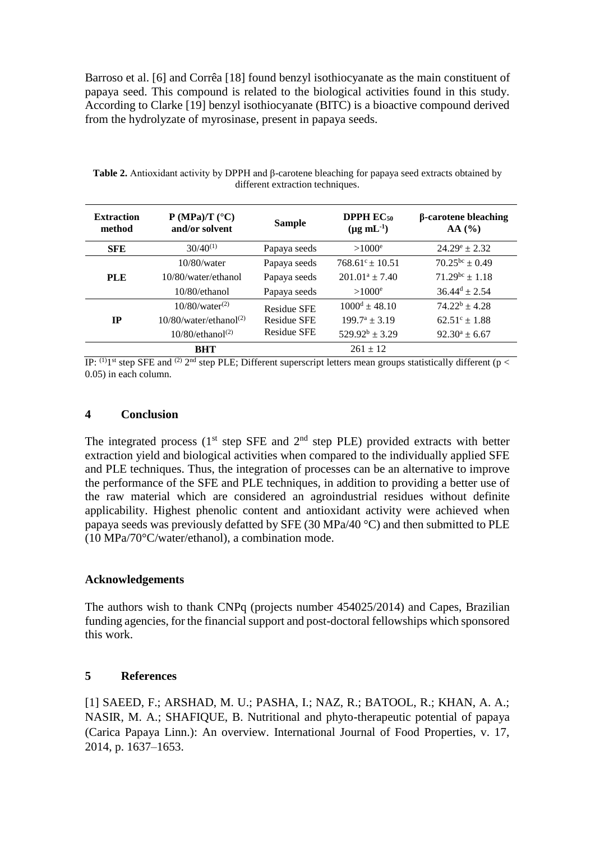Barroso et al. [6] and Corrêa [18] found benzyl isothiocyanate as the main constituent of papaya seed. This compound is related to the biological activities found in this study. According to Clarke [19] benzyl isothiocyanate (BITC) is a bioactive compound derived from the hydrolyzate of myrosinase, present in papaya seeds.

| <b>Extraction</b><br>method | $P(MPa)/T$ (°C)<br>and/or solvent     | <b>Sample</b>                                                  | <b>DPPH</b> $EC_{50}$<br>$(\mu g \text{ mL}^{-1})$ | $\beta$ -carotene bleaching<br>AA(%) |
|-----------------------------|---------------------------------------|----------------------------------------------------------------|----------------------------------------------------|--------------------------------------|
| <b>SFE</b>                  | $30/40^{(1)}$                         | Papaya seeds                                                   | $>1000^e$                                          | $24.29^e \pm 2.32$                   |
| <b>PLE</b>                  | $10/80$ /water                        | Papaya seeds                                                   | $768.61^{\circ}$ + 10.51                           | $70.25^{bc} \pm 0.49$                |
|                             | 10/80/water/ethanol                   | Papaya seeds                                                   | $201.01^a \pm 7.40$                                | $71.29^{bc} \pm 1.18$                |
|                             | $10/80$ /ethanol                      | Papaya seeds                                                   | $>1000^e$                                          | $36.44^d \pm 2.54$                   |
| <b>IP</b>                   | $10/80/water^{(2)}$                   | <b>Residue SFE</b><br><b>Residue SFE</b><br><b>Residue SFE</b> | $1000^d \pm 48.10$                                 | $74.22^b \pm 4.28$                   |
|                             | $10/80$ /water/ethanol <sup>(2)</sup> |                                                                | $199.7^a + 3.19$                                   | $62.51^{\circ} \pm 1.88$             |
|                             | $10/80$ /ethanol <sup>(2)</sup>       |                                                                | $529.92^b \pm 3.29$                                | $92.30^a \pm 6.67$                   |
|                             | <b>BHT</b>                            |                                                                | $261 + 12$                                         |                                      |

**Table 2.** Antioxidant activity by DPPH and β-carotene bleaching for papaya seed extracts obtained by different extraction techniques.

IP:  $^{(1)}$ 1<sup>st</sup> step SFE and <sup>(2)</sup> 2<sup>nd</sup> step PLE; Different superscript letters mean groups statistically different (p < 0.05) in each column.

#### **4 Conclusion**

The integrated process ( $1<sup>st</sup>$  step SFE and  $2<sup>nd</sup>$  step PLE) provided extracts with better extraction yield and biological activities when compared to the individually applied SFE and PLE techniques. Thus, the integration of processes can be an alternative to improve the performance of the SFE and PLE techniques, in addition to providing a better use of the raw material which are considered an agroindustrial residues without definite applicability. Highest phenolic content and antioxidant activity were achieved when papaya seeds was previously defatted by SFE (30 MPa/40 °C) and then submitted to PLE (10 MPa/70°C/water/ethanol), a combination mode.

## **Acknowledgements**

The authors wish to thank CNPq (projects number 454025/2014) and Capes, Brazilian funding agencies, for the financial support and post-doctoral fellowships which sponsored this work.

# **5 References**

[1] SAEED, F.; ARSHAD, M. U.; PASHA, I.; NAZ, R.; BATOOL, R.; KHAN, A. A.; NASIR, M. A.; SHAFIQUE, B. Nutritional and phyto-therapeutic potential of papaya (Carica Papaya Linn.): An overview. International Journal of Food Properties, v. 17, 2014, p. 1637–1653.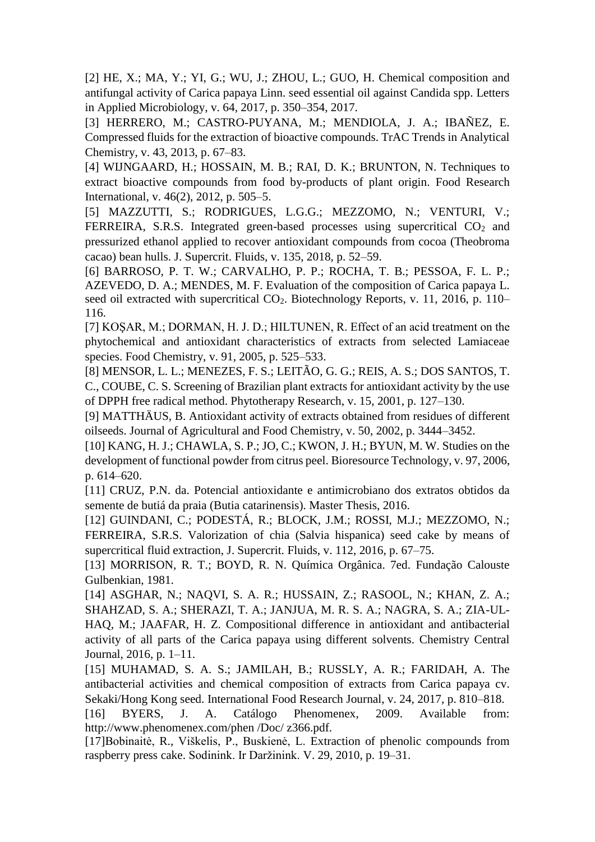[2] HE, X.; MA, Y.; YI, G.; WU, J.; ZHOU, L.; GUO, H. Chemical composition and antifungal activity of Carica papaya Linn. seed essential oil against Candida spp. Letters in Applied Microbiology, v. 64, 2017, p. 350–354, 2017.

[3] HERRERO, M.; CASTRO-PUYANA, M.; MENDIOLA, J. A.; IBAÑEZ, E. Compressed fluids for the extraction of bioactive compounds. TrAC Trends in Analytical Chemistry, v. 43, 2013, p. 67–83.

[4] WIJNGAARD, H.; HOSSAIN, M. B.; RAI, D. K.; BRUNTON, N. Techniques to extract bioactive compounds from food by-products of plant origin. Food Research International, v. 46(2), 2012, p. 505–5.

[5] MAZZUTTI, S.; RODRIGUES, L.G.G.; MEZZOMO, N.; VENTURI, V.; FERREIRA, S.R.S. Integrated green-based processes using supercritical  $CO<sub>2</sub>$  and pressurized ethanol applied to recover antioxidant compounds from cocoa (Theobroma cacao) bean hulls. J. Supercrit. Fluids, v. 135, 2018, p. 52–59.

[6] BARROSO, P. T. W.; CARVALHO, P. P.; ROCHA, T. B.; PESSOA, F. L. P.; AZEVEDO, D. A.; MENDES, M. F. Evaluation of the composition of Carica papaya L. seed oil extracted with supercritical CO<sub>2</sub>. Biotechnology Reports, v. 11, 2016, p. 110– 116.

[7] KOŞAR, M.; DORMAN, H. J. D.; HILTUNEN, R. Effect of an acid treatment on the phytochemical and antioxidant characteristics of extracts from selected Lamiaceae species. Food Chemistry, v. 91, 2005, p. 525–533.

[8] MENSOR, L. L.; MENEZES, F. S.; LEITÃO, G. G.; REIS, A. S.; DOS SANTOS, T. C., COUBE, C. S. Screening of Brazilian plant extracts for antioxidant activity by the use of DPPH free radical method. Phytotherapy Research, v. 15, 2001, p. 127–130.

[9] MATTHÄUS, B. Antioxidant activity of extracts obtained from residues of different oilseeds. Journal of Agricultural and Food Chemistry, v. 50, 2002, p. 3444–3452.

[10] KANG, H. J.; CHAWLA, S. P.; JO, C.; KWON, J. H.; BYUN, M. W. Studies on the development of functional powder from citrus peel. Bioresource Technology, v. 97, 2006, p. 614–620.

[11] CRUZ, P.N. da. Potencial antioxidante e antimicrobiano dos extratos obtidos da semente de butiá da praia (Butia catarinensis). Master Thesis, 2016.

[12] GUINDANI, C.; PODESTÁ, R.; BLOCK, J.M.; ROSSI, M.J.; MEZZOMO, N.; FERREIRA, S.R.S. Valorization of chia (Salvia hispanica) seed cake by means of supercritical fluid extraction, J. Supercrit. Fluids, v. 112, 2016, p. 67–75.

[13] MORRISON, R. T.; BOYD, R. N. Química Orgânica. 7ed. Fundação Calouste Gulbenkian, 1981.

[14] ASGHAR, N.; NAQVI, S. A. R.; HUSSAIN, Z.; RASOOL, N.; KHAN, Z. A.; SHAHZAD, S. A.; SHERAZI, T. A.; JANJUA, M. R. S. A.; NAGRA, S. A.; ZIA-UL-HAQ, M.; JAAFAR, H. Z. Compositional difference in antioxidant and antibacterial activity of all parts of the Carica papaya using different solvents. Chemistry Central Journal, 2016, p. 1–11.

[15] MUHAMAD, S. A. S.; JAMILAH, B.; RUSSLY, A. R.; FARIDAH, A. The antibacterial activities and chemical composition of extracts from Carica papaya cv. Sekaki/Hong Kong seed. International Food Research Journal, v. 24, 2017, p. 810–818.

[16] BYERS, J. A. Catálogo Phenomenex, 2009. Available from: http://www.phenomenex.com/phen /Doc/ z366.pdf.

[17]Bobinaitė, R., Viškelis, P., Buskienė, L. Extraction of phenolic compounds from raspberry press cake. Sodinink. Ir Daržinink. V. 29, 2010, p. 19–31.